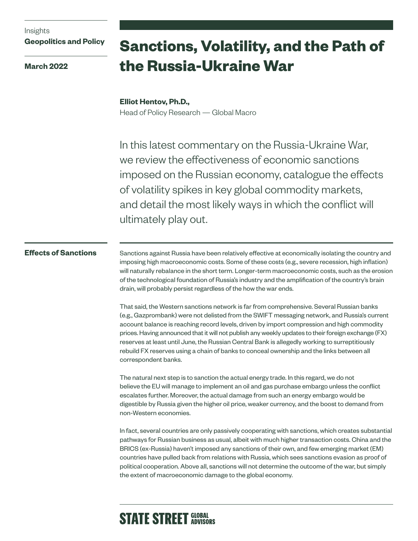## Insights **Geopolitics and Policy**

**March 2022**

# **Sanctions, Volatility, and the Path of the Russia-Ukraine War**

### **Elliot Hentov, Ph.D.,** Head of Policy Research — Global Macro

In this latest commentary on the Russia-Ukraine War, we review the effectiveness of economic sanctions imposed on the Russian economy, catalogue the effects of volatility spikes in key global commodity markets, and detail the most likely ways in which the conflict will ultimately play out.

### **Effects of Sanctions**

Sanctions against Russia have been relatively effective at economically isolating the country and imposing high macroeconomic costs. Some of these costs (e.g., severe recession, high inflation) will naturally rebalance in the short term. Longer-term macroeconomic costs, such as the erosion of the technological foundation of Russia's industry and the amplification of the country's brain drain, will probably persist regardless of the how the war ends.

That said, the Western sanctions network is far from comprehensive. Several Russian banks (e.g., Gazprombank) were not delisted from the SWIFT messaging network, and Russia's current account balance is reaching record levels, driven by import compression and high commodity prices. Having announced that it will not publish any weekly updates to their foreign exchange (FX) reserves at least until June, the Russian Central Bank is allegedly working to surreptitiously rebuild FX reserves using a chain of banks to conceal ownership and the links between all correspondent banks.

The natural next step is to sanction the actual energy trade. In this regard, we do not believe the EU will manage to implement an oil and gas purchase embargo unless the conflict escalates further. Moreover, the actual damage from such an energy embargo would be digestible by Russia given the higher oil price, weaker currency, and the boost to demand from non-Western economies.

In fact, several countries are only passively cooperating with sanctions, which creates substantial pathways for Russian business as usual, albeit with much higher transaction costs. China and the BRICS (ex-Russia) haven't imposed any sanctions of their own, and few emerging market (EM) countries have pulled back from relations with Russia, which sees sanctions evasion as proof of political cooperation. Above all, sanctions will not determine the outcome of the war, but simply the extent of macroeconomic damage to the global economy.

# **STATE STREET GLOBAL**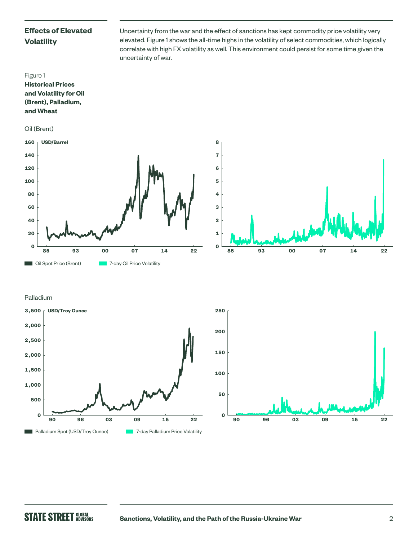# **Effects of Elevated Volatility**

Uncertainty from the war and the effect of sanctions has kept commodity price volatility very elevated. Figure 1 shows the all-time highs in the volatility of select commodities, which logically correlate with high FX volatility as well. This environment could persist for some time given the uncertainty of war.











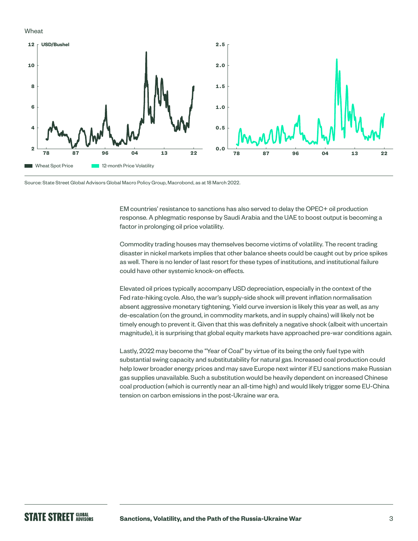### Wheat



Source: State Street Global Advisors Global Macro Policy Group, Macrobond, as at 18 March 2022.

EM countries' resistance to sanctions has also served to delay the OPEC+ oil production response. A phlegmatic response by Saudi Arabia and the UAE to boost output is becoming a factor in prolonging oil price volatility.

Commodity trading houses may themselves become victims of volatility. The recent trading disaster in nickel markets implies that other balance sheets could be caught out by price spikes as well. There is no lender of last resort for these types of institutions, and institutional failure could have other systemic knock-on effects.

Elevated oil prices typically accompany USD depreciation, especially in the context of the Fed rate-hiking cycle. Also, the war's supply-side shock will prevent inflation normalisation absent aggressive monetary tightening. Yield curve inversion is likely this year as well, as any de-escalation (on the ground, in commodity markets, and in supply chains) will likely not be timely enough to prevent it. Given that this was definitely a negative shock (albeit with uncertain magnitude), it is surprising that global equity markets have approached pre-war conditions again.

Lastly, 2022 may become the "Year of Coal" by virtue of its being the only fuel type with substantial swing capacity and substitutability for natural gas. Increased coal production could help lower broader energy prices and may save Europe next winter if EU sanctions make Russian gas supplies unavailable. Such a substitution would be heavily dependent on increased Chinese coal production (which is currently near an all-time high) and would likely trigger some EU-China tension on carbon emissions in the post-Ukraine war era.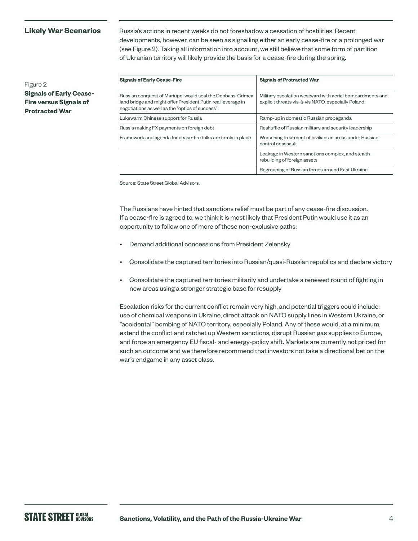**Likely War Scenarios** Russia's actions in recent weeks do not foreshadow a cessation of hostilities. Recent developments, however, can be seen as signalling either an early cease-fire or a prolonged war (see Figure 2). Taking all information into account, we still believe that some form of partition of Ukranian territory will likely provide the basis for a cease-fire during the spring.

Figure 2 **Signals of Early Cease-Fire versus Signals of Protracted War**

| <b>Signals of Early Cease-Fire</b>                                                                                                                                            | <b>Signals of Protracted War</b>                                                                                |
|-------------------------------------------------------------------------------------------------------------------------------------------------------------------------------|-----------------------------------------------------------------------------------------------------------------|
| Russian conquest of Mariupol would seal the Donbass-Crimea<br>land bridge and might offer President Putin real leverage in<br>negotiations as well as the "optics of success" | Military escalation westward with aerial bombardments and<br>explicit threats vis-à-vis NATO, especially Poland |
| Lukewarm Chinese support for Russia                                                                                                                                           | Ramp-up in domestic Russian propaganda                                                                          |
| Russia making FX payments on foreign debt                                                                                                                                     | Reshuffle of Russian military and security leadership                                                           |
| Framework and agenda for cease-fire talks are firmly in place                                                                                                                 | Worsening treatment of civilians in areas under Russian<br>control or assault                                   |
|                                                                                                                                                                               | Leakage in Western sanctions complex, and stealth<br>rebuilding of foreign assets                               |
|                                                                                                                                                                               | Regrouping of Russian forces around East Ukraine                                                                |

Source: State Street Global Advisors.

The Russians have hinted that sanctions relief must be part of any cease-fire discussion. If a cease-fire is agreed to, we think it is most likely that President Putin would use it as an opportunity to follow one of more of these non-exclusive paths:

- Demand additional concessions from President Zelensky
- Consolidate the captured territories into Russian/quasi-Russian republics and declare victory
- Consolidate the captured territories militarily and undertake a renewed round of fighting in new areas using a stronger strategic base for resupply

Escalation risks for the current conflict remain very high, and potential triggers could include: use of chemical weapons in Ukraine, direct attack on NATO supply lines in Western Ukraine, or "accidental" bombing of NATO territory, especially Poland. Any of these would, at a minimum, extend the conflict and ratchet up Western sanctions, disrupt Russian gas supplies to Europe, and force an emergency EU fiscal- and energy-policy shift. Markets are currently not priced for such an outcome and we therefore recommend that investors not take a directional bet on the war's endgame in any asset class.